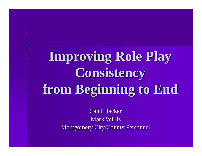## **Improving Role Play Consistency from Beginning to End**

Cami Hacker Mark Willis Montgomery City/County Personnel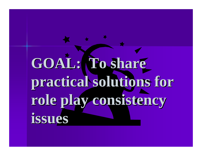# GOAL: To share **practical solutions for role play consistency issues**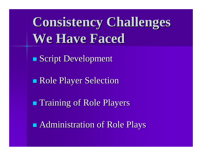**Consistency Challenges We Have Faced**

■ Script Development

Role Player Selection

**n Training of Role Players** 

**n** Administration of Role Plays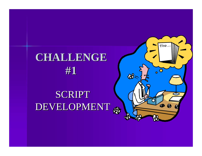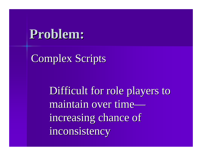### Complex Scripts

Difficult for role players to maintain over timeincreasing chance of inconsistency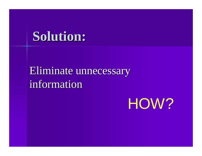### Eliminate unnecessary information

HOW?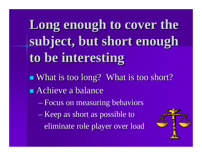**Long enough to cover the subject, but short enough to be interesting**

What is too long? What is too short?

**n** Achieve a balance

– Focus on measuring behaviors

– Keep as short as possible to

eliminate role player over load

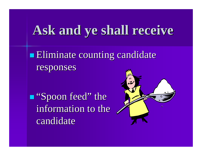## **Ask and ye shall receive**

**Eliminate counting candidate** responses

**n** "Spoon feed" the information to the candidate

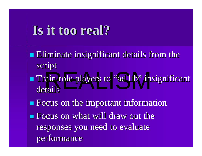## **Is it too real?**

- ain role players to "ad lib" in **Eliminate insignificant details from the** script **n** Train role players to "ad lib" insignificant details
- **n** Focus on the important information
- **n** Focus on what will draw out the responses you need to evaluate performance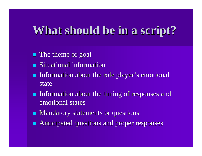## **What should be in a script?**

- **n** The theme or goal
- Situational information
- **n** Information about the role player's emotional state
- **n** Information about the timing of responses and emotional states
- Mandatory statements or questions
- **n** Anticipated questions and proper responses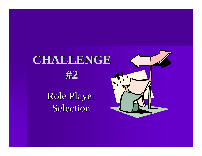## **CHALLENGE**



Role Player Selection

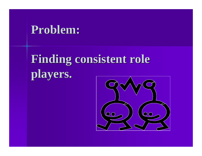## **Finding consistent role players.**

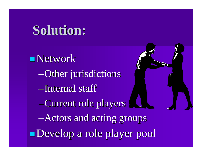**Network** –Other jurisdictions –Internal staff –Current role players –Actors and acting groups Develop a role player pool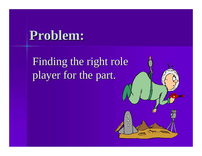Finding the right role player for the part.

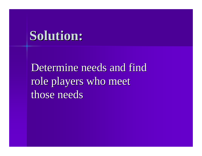Determine needs and find role players who meet those needs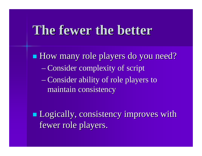## **The fewer the better**

■ How many role players do you need? – Consider complexity of script – Consider ability of role players to maintain consistency

**n** Logically, consistency improves with fewer role players.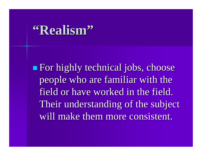## **"Realism"**

**n** For highly technical jobs, choose people who are familiar with the field or have worked in the field. Their understanding of the subject will make them more consistent.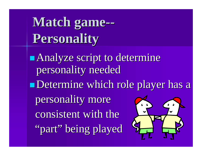**Match game-- Personality**

**n Analyze script to determine** personality needed Determine which role player has a personality more consistent with the "part" being played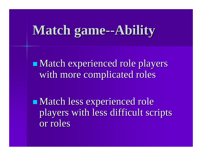## **Match game--Ability**

**Natch experienced role players** with more complicated roles

**Natch less experienced role** players with less difficult scripts or roles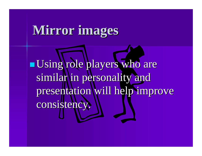## **Mirror images**

<sup>n</sup> Using role players who are similar in personality and presentation will help improve consistency.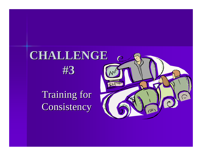## **CHALLENGE**



Training for Consistency

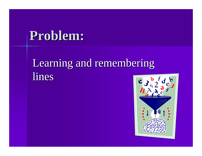#### Learning and remembering lines

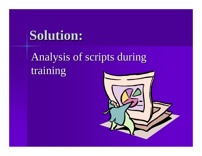## Analysis of scripts during training

![](_page_22_Picture_2.jpeg)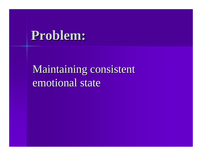## Maintaining consistent emotional state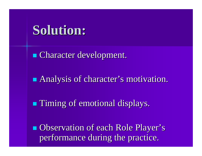**n** Character development.

**Analysis of character's motivation.** 

**n Timing of emotional displays.** 

**n** Observation of each Role Player's performance during the practice.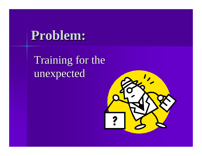Training for the unexpected

![](_page_25_Picture_2.jpeg)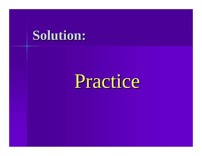# Practice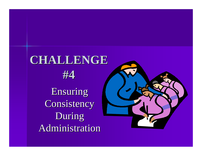## **CHALLENGE**

![](_page_27_Picture_1.jpeg)

Ensuring **Consistency** During Administration

![](_page_27_Picture_3.jpeg)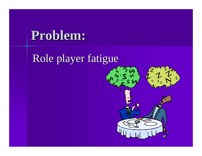### Role player fatigue

![](_page_28_Picture_2.jpeg)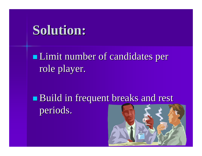**I** Limit number of candidates per role player.

**Build in frequent breaks and rest** periods.

![](_page_29_Picture_3.jpeg)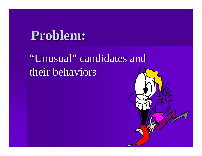## "Unusual" candidates and their behaviors

![](_page_30_Picture_2.jpeg)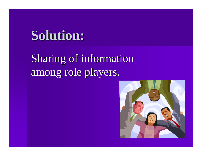Sharing of information among role players.

![](_page_31_Picture_2.jpeg)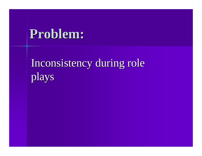## Inconsistency during role plays